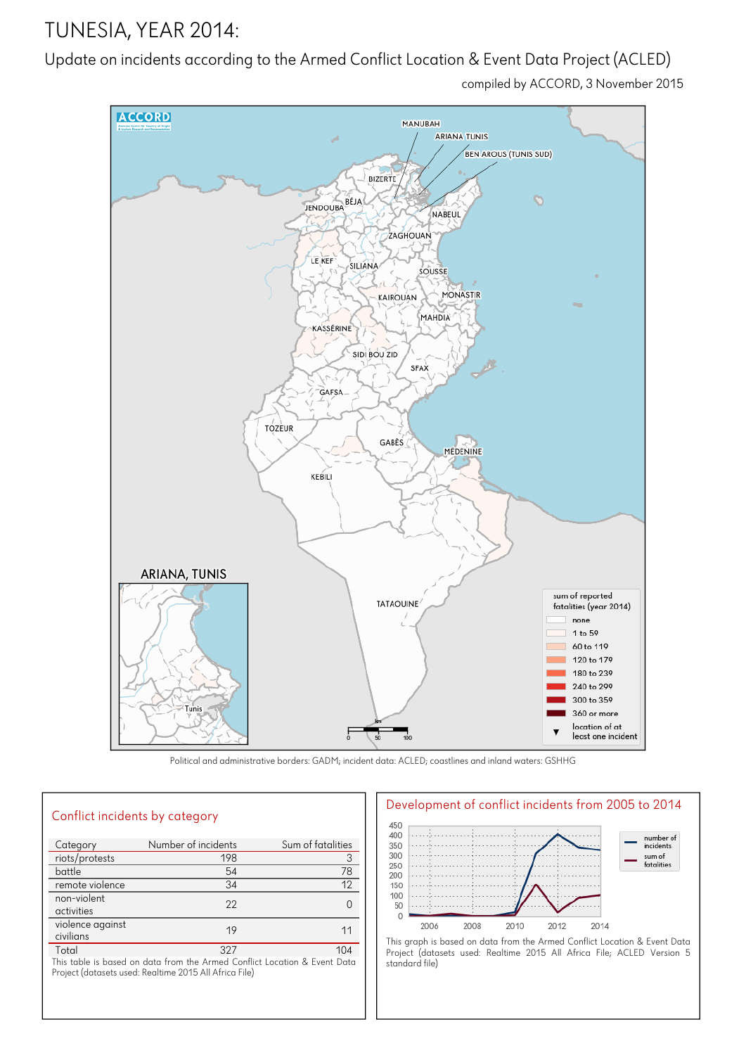# TUNESIA, YEAR 2014:

## Update on incidents according to the Armed Conflict Location & Event Data Project (ACLED)

compiled by ACCORD, 3 November 2015



Political and administrative borders: GADM; incident data: ACLED; coastlines and inland waters: GSHHG

| Conflict incidents by category                                                                                                      |                     |                   |
|-------------------------------------------------------------------------------------------------------------------------------------|---------------------|-------------------|
| Category                                                                                                                            | Number of incidents | Sum of fatalities |
| riots/protests                                                                                                                      | 198                 | 3                 |
| battle                                                                                                                              | 54                  | 78                |
| remote violence                                                                                                                     | 34                  | 12                |
| non-violent<br>activities                                                                                                           | 22                  | $\Omega$          |
| violence against<br>civilians                                                                                                       | 19                  | 11                |
| Total                                                                                                                               | 327                 | 104               |
| This table is based on data from the Armed Conflict Location & Event Data<br>Project (datasets used: Realtime 2015 All Africa File) |                     |                   |



Project (datasets used: Realtime 2015 All Africa File; ACLED Version 5 standard file)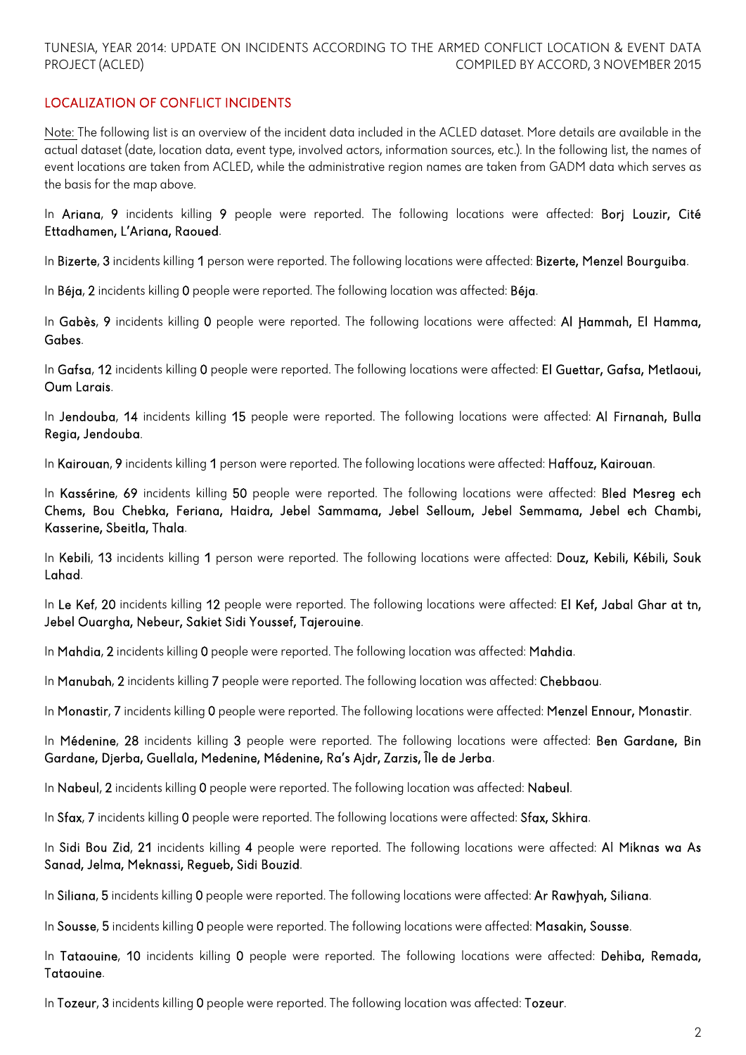### TUNESIA, YEAR 2014: UPDATE ON INCIDENTS ACCORDING TO THE ARMED CONFLICT LOCATION & EVENT DATA PROJECT (ACLED) COMPILED BY ACCORD, 3 NOVEMBER 2015

## LOCALIZATION OF CONFLICT INCIDENTS

Note: The following list is an overview of the incident data included in the ACLED dataset. More details are available in the actual dataset (date, location data, event type, involved actors, information sources, etc.). In the following list, the names of event locations are taken from ACLED, while the administrative region names are taken from GADM data which serves as the basis for the map above.

In Ariana, 9 incidents killing 9 people were reported. The following locations were affected: Borj Louzir, Cité Ettadhamen, L'Ariana, Raoued.

In Bizerte, 3 incidents killing 1 person were reported. The following locations were affected: Bizerte, Menzel Bourguiba.

In Béja, 2 incidents killing 0 people were reported. The following location was affected: Béja.

In Gabès, 9 incidents killing 0 people were reported. The following locations were affected: Al Hammah, El Hamma, Gabes.

In Gafsa, 12 incidents killing 0 people were reported. The following locations were affected: El Guettar, Gafsa, Metlaoui, Oum Larais.

In Jendouba, 14 incidents killing 15 people were reported. The following locations were affected: Al Firnanah, Bulla Regia, Jendouba.

In Kairouan, 9 incidents killing 1 person were reported. The following locations were affected: Haffouz, Kairouan.

In Kassérine, 69 incidents killing 50 people were reported. The following locations were affected: Bled Mesreg ech Chems, Bou Chebka, Feriana, Haidra, Jebel Sammama, Jebel Selloum, Jebel Semmama, Jebel ech Chambi, Kasserine, Sbeitla, Thala.

In Kebili, 13 incidents killing 1 person were reported. The following locations were affected: Douz, Kebili, Kébili, Souk Lahad.

In Le Kef, 20 incidents killing 12 people were reported. The following locations were affected: El Kef, Jabal Ghar at tn, Jebel Ouargha, Nebeur, Sakiet Sidi Youssef, Tajerouine.

In Mahdia, 2 incidents killing 0 people were reported. The following location was affected: Mahdia.

In Manubah, 2 incidents killing 7 people were reported. The following location was affected: Chebbaou.

In Monastir, 7 incidents killing 0 people were reported. The following locations were affected: Menzel Ennour, Monastir.

In Médenine, 28 incidents killing 3 people were reported. The following locations were affected: Ben Gardane, Bin Gardane, Djerba, Guellala, Medenine, Médenine, Ra's Ajdr, Zarzis, Île de Jerba.

In Nabeul, 2 incidents killing 0 people were reported. The following location was affected: Nabeul.

In Sfax, 7 incidents killing 0 people were reported. The following locations were affected: Sfax, Skhira.

In Sidi Bou Zid, 21 incidents killing 4 people were reported. The following locations were affected: Al Miknas wa As Sanad, Jelma, Meknassi, Regueb, Sidi Bouzid.

In Siliana, 5 incidents killing 0 people were reported. The following locations were affected: Ar Rawhyah, Siliana.

In Sousse, 5 incidents killing 0 people were reported. The following locations were affected: Masakin, Sousse.

In Tataouine, 10 incidents killing 0 people were reported. The following locations were affected: Dehiba, Remada, Tataouine.

In Tozeur, 3 incidents killing 0 people were reported. The following location was affected: Tozeur.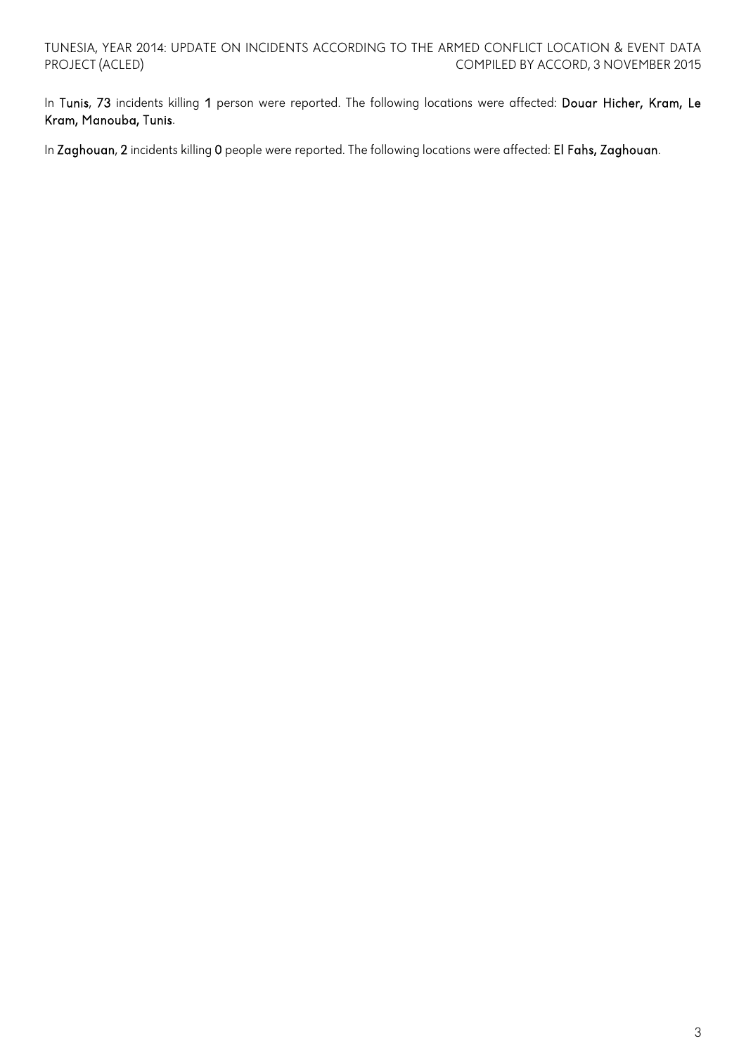In Tunis, 73 incidents killing 1 person were reported. The following locations were affected: Douar Hicher, Kram, Le Kram, Manouba, Tunis.

In Zaghouan, 2 incidents killing 0 people were reported. The following locations were affected: El Fahs, Zaghouan.